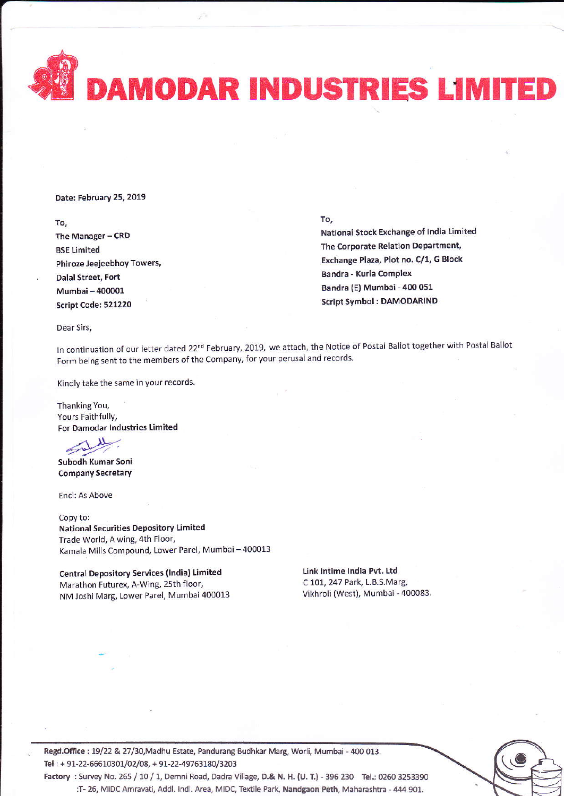DAMODAR INDUSTRIES LIMITED

Date: February 25, 2019

To,

The Manager - CRD **BSE Limited** Phiroze Jeejeebhoy Towers, Dalal Street, Fort Mumbai-400001 Script code: 521220

To,

National Stock Exchange of India Limited The Corporate Relation Department, Exchange Plaza, Plot no. C/1, G Block Bandra - Kurla complex Bandra (E) Mumbai - 400 051 Script Symbol : DAMODARIND

Dear Sirs,

In continuation of our letter dated 22<sup>nd</sup> February, 2019, we attach, the Notice of Postal Ballot together with Postal Ballot Form being sent to the members of the Company, for your perusal and records.

Kindly take the same in your records.

Thanking You, Yours Faithfully, For Damodar lndustries Limited

subodh Kumar Sonl **Company Secretary** 

Encl: As Above

Copy to: **National Securities Depository Limited** Trade World, A wing, 4th Floor, Kamala Mills Compound, Lower Parel, Mumbai-400013

Central Depository Services (India) Limited Marathon Futurex, A-Wing, 25th floor, NM Joshi Marg, Lower Parel, Mumbai 400013 Link tntime lndia Pvt. Ltd C 101, 247 Park, L.B.S.Marg, vikhroli (west), Mumbai - 400083.



Regd.Office : 19/22 & 27/30,Madhu Estate, Pandurang Budhkar Marg, Worli, Mumbai - 400 013. Tel: + 91-22-66610301/02/08, + 91-22-49763180/3203

Factory : Survey No. 265 / 10 / 1, Demni Road, Dadra Village, D.& N. H. (U. T.) - 396 230 Tel.: 0260 3253390 :T- 26, MIDC Amravati, Addl. Indl. Area, MIDC, Textile Park, Nandgaon Peth, Maharashtra - 444 901.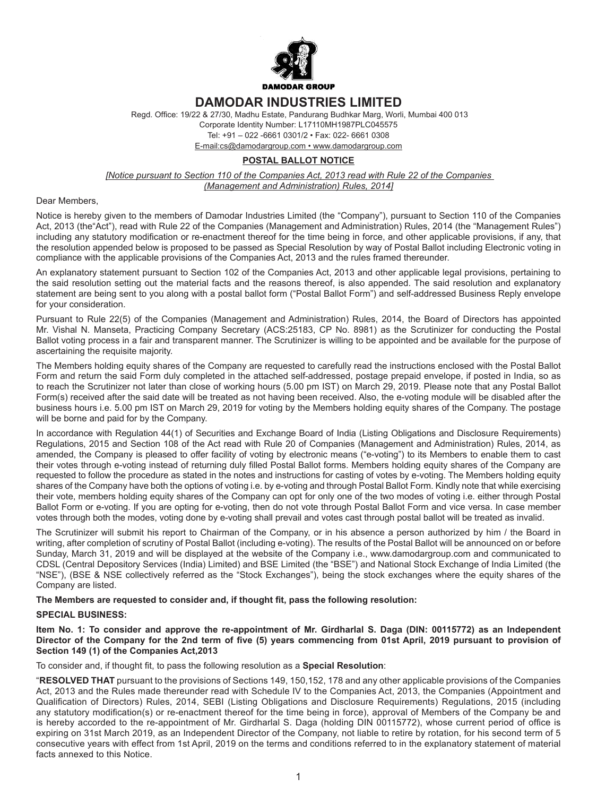

# **DAMODAR INDUSTRIES LIMITED**

 Regd. Office: 19/22 & 27/30, Madhu Estate, Pandurang Budhkar Marg, Worli, Mumbai 400 013 Corporate Identity Number: L17110MH1987PLC045575 Tel: +91 – 022 -6661 0301/2 • Fax: 022- 6661 0308 E-mail:cs@damodargroup.com • www.damodargroup.com

## **POSTAL BALLOT NOTICE**

*[Notice pursuant to Section 110 of the Companies Act, 2013 read with Rule 22 of the Companies (Management and Administration) Rules, 2014]*

#### Dear Members,

Notice is hereby given to the members of Damodar Industries Limited (the "Company"), pursuant to Section 110 of the Companies Act, 2013 (the"Act"), read with Rule 22 of the Companies (Management and Administration) Rules, 2014 (the "Management Rules") including any statutory modification or re-enactment thereof for the time being in force, and other applicable provisions, if any, that the resolution appended below is proposed to be passed as Special Resolution by way of Postal Ballot including Electronic voting in compliance with the applicable provisions of the Companies Act, 2013 and the rules framed thereunder.

An explanatory statement pursuant to Section 102 of the Companies Act, 2013 and other applicable legal provisions, pertaining to the said resolution setting out the material facts and the reasons thereof, is also appended. The said resolution and explanatory statement are being sent to you along with a postal ballot form ("Postal Ballot Form") and self-addressed Business Reply envelope for your consideration.

Pursuant to Rule 22(5) of the Companies (Management and Administration) Rules, 2014, the Board of Directors has appointed Mr. Vishal N. Manseta, Practicing Company Secretary (ACS:25183, CP No. 8981) as the Scrutinizer for conducting the Postal Ballot voting process in a fair and transparent manner. The Scrutinizer is willing to be appointed and be available for the purpose of ascertaining the requisite majority.

The Members holding equity shares of the Company are requested to carefully read the instructions enclosed with the Postal Ballot Form and return the said Form duly completed in the attached self-addressed, postage prepaid envelope, if posted in India, so as to reach the Scrutinizer not later than close of working hours (5.00 pm IST) on March 29, 2019. Please note that any Postal Ballot Form(s) received after the said date will be treated as not having been received. Also, the e-voting module will be disabled after the business hours i.e. 5.00 pm IST on March 29, 2019 for voting by the Members holding equity shares of the Company. The postage will be borne and paid for by the Company.

In accordance with Regulation 44(1) of Securities and Exchange Board of India (Listing Obligations and Disclosure Requirements) Regulations, 2015 and Section 108 of the Act read with Rule 20 of Companies (Management and Administration) Rules, 2014, as amended, the Company is pleased to offer facility of voting by electronic means ("e-voting") to its Members to enable them to cast their votes through e-voting instead of returning duly filled Postal Ballot forms. Members holding equity shares of the Company are requested to follow the procedure as stated in the notes and instructions for casting of votes by e-voting. The Members holding equity shares of the Company have both the options of voting i.e. by e-voting and through Postal Ballot Form. Kindly note that while exercising their vote, members holding equity shares of the Company can opt for only one of the two modes of voting i.e. either through Postal Ballot Form or e-voting. If you are opting for e-voting, then do not vote through Postal Ballot Form and vice versa. In case member votes through both the modes, voting done by e-voting shall prevail and votes cast through postal ballot will be treated as invalid.

The Scrutinizer will submit his report to Chairman of the Company, or in his absence a person authorized by him / the Board in writing, after completion of scrutiny of Postal Ballot (including e-voting). The results of the Postal Ballot will be announced on or before Sunday, March 31, 2019 and will be displayed at the website of the Company i.e., www.damodargroup.com and communicated to CDSL (Central Depository Services (India) Limited) and BSE Limited (the "BSE") and National Stock Exchange of India Limited (the "NSE"), (BSE & NSE collectively referred as the "Stock Exchanges"), being the stock exchanges where the equity shares of the Company are listed.

**The Members are requested to consider and, if thought fit, pass the following resolution:**

## **SPECIAL BUSINESS:**

**Item No. 1: To consider and approve the re-appointment of Mr. Girdharlal S. Daga (DIN: 00115772) as an Independent Director of the Company for the 2nd term of five (5) years commencing from 01st April, 2019 pursuant to provision of Section 149 (1) of the Companies Act,2013**

To consider and, if thought fit, to pass the following resolution as a **Special Resolution**:

"**RESOLVED THAT** pursuant to the provisions of Sections 149, 150,152, 178 and any other applicable provisions of the Companies Act, 2013 and the Rules made thereunder read with Schedule IV to the Companies Act, 2013, the Companies (Appointment and Qualification of Directors) Rules, 2014, SEBI (Listing Obligations and Disclosure Requirements) Regulations, 2015 (including any statutory modification(s) or re-enactment thereof for the time being in force), approval of Members of the Company be and is hereby accorded to the re-appointment of Mr. Girdharlal S. Daga (holding DIN 00115772), whose current period of office is expiring on 31st March 2019, as an Independent Director of the Company, not liable to retire by rotation, for his second term of 5 consecutive years with effect from 1st April, 2019 on the terms and conditions referred to in the explanatory statement of material facts annexed to this Notice.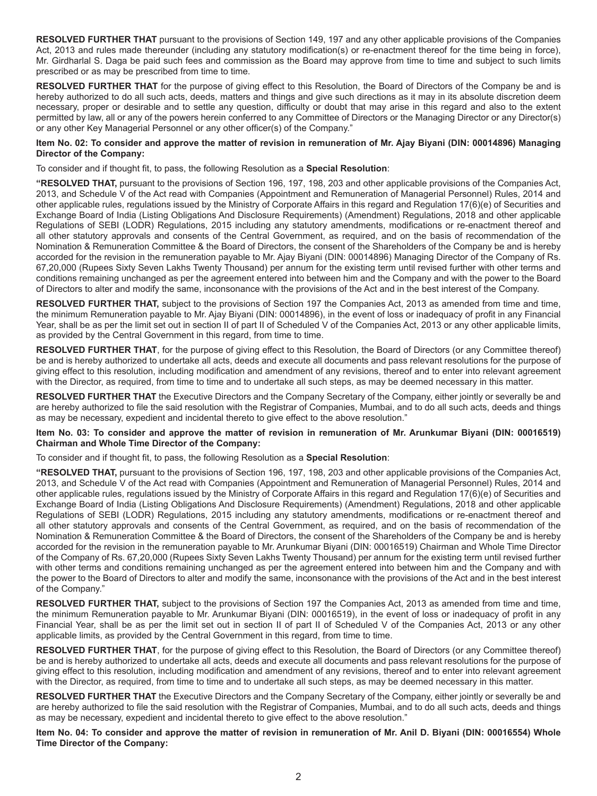**RESOLVED FURTHER THAT** pursuant to the provisions of Section 149, 197 and any other applicable provisions of the Companies Act, 2013 and rules made thereunder (including any statutory modification(s) or re-enactment thereof for the time being in force), Mr. Girdharlal S. Daga be paid such fees and commission as the Board may approve from time to time and subject to such limits prescribed or as may be prescribed from time to time.

**RESOLVED FURTHER THAT** for the purpose of giving effect to this Resolution, the Board of Directors of the Company be and is hereby authorized to do all such acts, deeds, matters and things and give such directions as it may in its absolute discretion deem necessary, proper or desirable and to settle any question, difficulty or doubt that may arise in this regard and also to the extent permitted by law, all or any of the powers herein conferred to any Committee of Directors or the Managing Director or any Director(s) or any other Key Managerial Personnel or any other officer(s) of the Company."

## **Item No. 02: To consider and approve the matter of revision in remuneration of Mr. Ajay Biyani (DIN: 00014896) Managing Director of the Company:**

To consider and if thought fit, to pass, the following Resolution as a **Special Resolution**:

**"RESOLVED THAT,** pursuant to the provisions of Section 196, 197, 198, 203 and other applicable provisions of the Companies Act, 2013, and Schedule V of the Act read with Companies (Appointment and Remuneration of Managerial Personnel) Rules, 2014 and other applicable rules, regulations issued by the Ministry of Corporate Affairs in this regard and Regulation 17(6)(e) of Securities and Exchange Board of India (Listing Obligations And Disclosure Requirements) (Amendment) Regulations, 2018 and other applicable Regulations of SEBI (LODR) Regulations, 2015 including any statutory amendments, modifications or re-enactment thereof and all other statutory approvals and consents of the Central Government, as required, and on the basis of recommendation of the Nomination & Remuneration Committee & the Board of Directors, the consent of the Shareholders of the Company be and is hereby accorded for the revision in the remuneration payable to Mr. Ajay Biyani (DIN: 00014896) Managing Director of the Company of Rs. 67,20,000 (Rupees Sixty Seven Lakhs Twenty Thousand) per annum for the existing term until revised further with other terms and conditions remaining unchanged as per the agreement entered into between him and the Company and with the power to the Board of Directors to alter and modify the same, inconsonance with the provisions of the Act and in the best interest of the Company.

**RESOLVED FURTHER THAT,** subject to the provisions of Section 197 the Companies Act, 2013 as amended from time and time, the minimum Remuneration payable to Mr. Ajay Biyani (DIN: 00014896), in the event of loss or inadequacy of profit in any Financial Year, shall be as per the limit set out in section II of part II of Scheduled V of the Companies Act, 2013 or any other applicable limits, as provided by the Central Government in this regard, from time to time.

**RESOLVED FURTHER THAT**, for the purpose of giving effect to this Resolution, the Board of Directors (or any Committee thereof) be and is hereby authorized to undertake all acts, deeds and execute all documents and pass relevant resolutions for the purpose of giving effect to this resolution, including modification and amendment of any revisions, thereof and to enter into relevant agreement with the Director, as required, from time to time and to undertake all such steps, as may be deemed necessary in this matter.

**RESOLVED FURTHER THAT** the Executive Directors and the Company Secretary of the Company, either jointly or severally be and are hereby authorized to file the said resolution with the Registrar of Companies, Mumbai, and to do all such acts, deeds and things as may be necessary, expedient and incidental thereto to give effect to the above resolution."

## **Item No. 03: To consider and approve the matter of revision in remuneration of Mr. Arunkumar Biyani (DIN: 00016519) Chairman and Whole Time Director of the Company:**

To consider and if thought fit, to pass, the following Resolution as a **Special Resolution**:

**"RESOLVED THAT,** pursuant to the provisions of Section 196, 197, 198, 203 and other applicable provisions of the Companies Act, 2013, and Schedule V of the Act read with Companies (Appointment and Remuneration of Managerial Personnel) Rules, 2014 and other applicable rules, regulations issued by the Ministry of Corporate Affairs in this regard and Regulation 17(6)(e) of Securities and Exchange Board of India (Listing Obligations And Disclosure Requirements) (Amendment) Regulations, 2018 and other applicable Regulations of SEBI (LODR) Regulations, 2015 including any statutory amendments, modifications or re-enactment thereof and all other statutory approvals and consents of the Central Government, as required, and on the basis of recommendation of the Nomination & Remuneration Committee & the Board of Directors, the consent of the Shareholders of the Company be and is hereby accorded for the revision in the remuneration payable to Mr. Arunkumar Biyani (DIN: 00016519) Chairman and Whole Time Director of the Company of Rs. 67,20,000 (Rupees Sixty Seven Lakhs Twenty Thousand) per annum for the existing term until revised further with other terms and conditions remaining unchanged as per the agreement entered into between him and the Company and with the power to the Board of Directors to alter and modify the same, inconsonance with the provisions of the Act and in the best interest of the Company."

**RESOLVED FURTHER THAT,** subject to the provisions of Section 197 the Companies Act, 2013 as amended from time and time, the minimum Remuneration payable to Mr. Arunkumar Biyani (DIN: 00016519), in the event of loss or inadequacy of profit in any Financial Year, shall be as per the limit set out in section II of part II of Scheduled V of the Companies Act, 2013 or any other applicable limits, as provided by the Central Government in this regard, from time to time.

**RESOLVED FURTHER THAT**, for the purpose of giving effect to this Resolution, the Board of Directors (or any Committee thereof) be and is hereby authorized to undertake all acts, deeds and execute all documents and pass relevant resolutions for the purpose of giving effect to this resolution, including modification and amendment of any revisions, thereof and to enter into relevant agreement with the Director, as required, from time to time and to undertake all such steps, as may be deemed necessary in this matter.

**RESOLVED FURTHER THAT** the Executive Directors and the Company Secretary of the Company, either jointly or severally be and are hereby authorized to file the said resolution with the Registrar of Companies, Mumbai, and to do all such acts, deeds and things as may be necessary, expedient and incidental thereto to give effect to the above resolution."

**Item No. 04: To consider and approve the matter of revision in remuneration of Mr. Anil D. Biyani (DIN: 00016554) Whole Time Director of the Company:**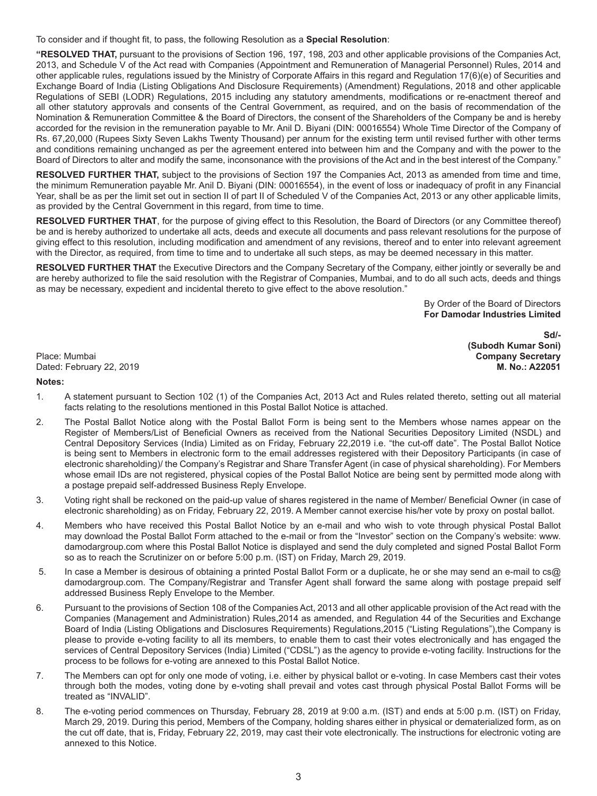To consider and if thought fit, to pass, the following Resolution as a **Special Resolution**:

**"RESOLVED THAT,** pursuant to the provisions of Section 196, 197, 198, 203 and other applicable provisions of the Companies Act, 2013, and Schedule V of the Act read with Companies (Appointment and Remuneration of Managerial Personnel) Rules, 2014 and other applicable rules, regulations issued by the Ministry of Corporate Affairs in this regard and Regulation 17(6)(e) of Securities and Exchange Board of India (Listing Obligations And Disclosure Requirements) (Amendment) Regulations, 2018 and other applicable Regulations of SEBI (LODR) Regulations, 2015 including any statutory amendments, modifications or re-enactment thereof and all other statutory approvals and consents of the Central Government, as required, and on the basis of recommendation of the Nomination & Remuneration Committee & the Board of Directors, the consent of the Shareholders of the Company be and is hereby accorded for the revision in the remuneration payable to Mr. Anil D. Biyani (DIN: 00016554) Whole Time Director of the Company of Rs. 67,20,000 (Rupees Sixty Seven Lakhs Twenty Thousand) per annum for the existing term until revised further with other terms and conditions remaining unchanged as per the agreement entered into between him and the Company and with the power to the Board of Directors to alter and modify the same, inconsonance with the provisions of the Act and in the best interest of the Company."

**RESOLVED FURTHER THAT,** subject to the provisions of Section 197 the Companies Act, 2013 as amended from time and time, the minimum Remuneration payable Mr. Anil D. Biyani (DIN: 00016554), in the event of loss or inadequacy of profit in any Financial Year, shall be as per the limit set out in section II of part II of Scheduled V of the Companies Act, 2013 or any other applicable limits, as provided by the Central Government in this regard, from time to time.

**RESOLVED FURTHER THAT**, for the purpose of giving effect to this Resolution, the Board of Directors (or any Committee thereof) be and is hereby authorized to undertake all acts, deeds and execute all documents and pass relevant resolutions for the purpose of giving effect to this resolution, including modification and amendment of any revisions, thereof and to enter into relevant agreement with the Director, as required, from time to time and to undertake all such steps, as may be deemed necessary in this matter.

**RESOLVED FURTHER THAT** the Executive Directors and the Company Secretary of the Company, either jointly or severally be and are hereby authorized to file the said resolution with the Registrar of Companies, Mumbai, and to do all such acts, deeds and things as may be necessary, expedient and incidental thereto to give effect to the above resolution."

> By Order of the Board of Directors  **For Damodar Industries Limited**

Place: Mumbai **Company Secretary** Dated: February 22, 2019

**Sd/- (Subodh Kumar Soni)**

## **Notes:**

- 1. A statement pursuant to Section 102 (1) of the Companies Act, 2013 Act and Rules related thereto, setting out all material facts relating to the resolutions mentioned in this Postal Ballot Notice is attached.
- 2. The Postal Ballot Notice along with the Postal Ballot Form is being sent to the Members whose names appear on the Register of Members/List of Beneficial Owners as received from the National Securities Depository Limited (NSDL) and Central Depository Services (India) Limited as on Friday, February 22,2019 i.e. "the cut-off date". The Postal Ballot Notice is being sent to Members in electronic form to the email addresses registered with their Depository Participants (in case of electronic shareholding)/ the Company's Registrar and Share Transfer Agent (in case of physical shareholding). For Members whose email IDs are not registered, physical copies of the Postal Ballot Notice are being sent by permitted mode along with a postage prepaid self-addressed Business Reply Envelope.
- 3. Voting right shall be reckoned on the paid-up value of shares registered in the name of Member/ Beneficial Owner (in case of electronic shareholding) as on Friday, February 22, 2019. A Member cannot exercise his/her vote by proxy on postal ballot.
- 4. Members who have received this Postal Ballot Notice by an e-mail and who wish to vote through physical Postal Ballot may download the Postal Ballot Form attached to the e-mail or from the "Investor" section on the Company's website: www. damodargroup.com where this Postal Ballot Notice is displayed and send the duly completed and signed Postal Ballot Form so as to reach the Scrutinizer on or before 5:00 p.m. (IST) on Friday, March 29, 2019.
- 5. In case a Member is desirous of obtaining a printed Postal Ballot Form or a duplicate, he or she may send an e-mail to cs@ damodargroup.com. The Company/Registrar and Transfer Agent shall forward the same along with postage prepaid self addressed Business Reply Envelope to the Member.
- 6. Pursuant to the provisions of Section 108 of the Companies Act, 2013 and all other applicable provision of the Act read with the Companies (Management and Administration) Rules,2014 as amended, and Regulation 44 of the Securities and Exchange Board of India (Listing Obligations and Disclosures Requirements) Regulations,2015 ("Listing Regulations"),the Company is please to provide e-voting facility to all its members, to enable them to cast their votes electronically and has engaged the services of Central Depository Services (India) Limited ("CDSL") as the agency to provide e-voting facility. Instructions for the process to be follows for e-voting are annexed to this Postal Ballot Notice.
- 7. The Members can opt for only one mode of voting, i.e. either by physical ballot or e-voting. In case Members cast their votes through both the modes, voting done by e-voting shall prevail and votes cast through physical Postal Ballot Forms will be treated as "INVALID".
- 8. The e-voting period commences on Thursday, February 28, 2019 at 9:00 a.m. (IST) and ends at 5:00 p.m. (IST) on Friday, March 29, 2019. During this period, Members of the Company, holding shares either in physical or dematerialized form, as on the cut off date, that is, Friday, February 22, 2019, may cast their vote electronically. The instructions for electronic voting are annexed to this Notice.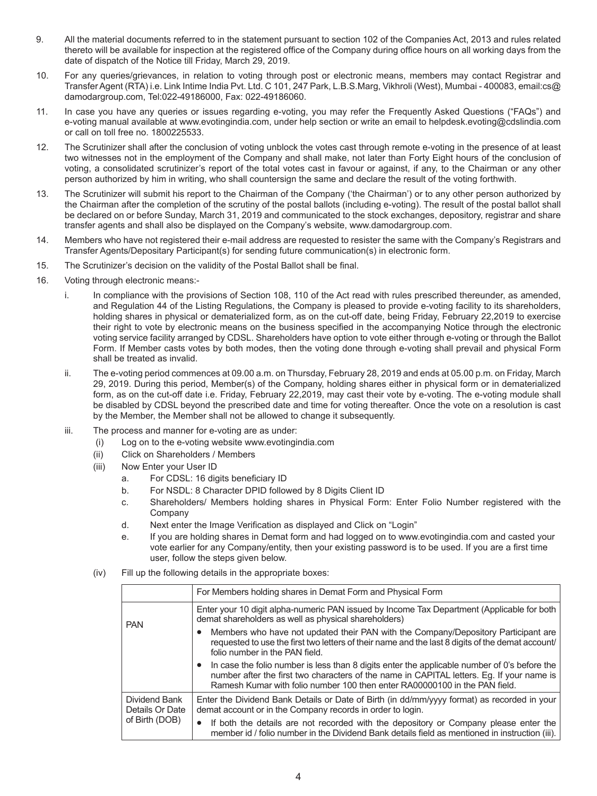- 9. All the material documents referred to in the statement pursuant to section 102 of the Companies Act, 2013 and rules related thereto will be available for inspection at the registered office of the Company during office hours on all working days from the date of dispatch of the Notice till Friday, March 29, 2019.
- 10. For any queries/grievances, in relation to voting through post or electronic means, members may contact Registrar and Transfer Agent (RTA) i.e. Link Intime India Pvt. Ltd. C 101, 247 Park, L.B.S.Marg, Vikhroli (West), Mumbai - 400083, email:cs@ damodargroup.com, Tel:022-49186000, Fax: 022-49186060.
- 11. In case you have any queries or issues regarding e-voting, you may refer the Frequently Asked Questions ("FAQs") and e-voting manual available at www.evotingindia.com, under help section or write an email to helpdesk.evoting@cdslindia.com or call on toll free no. 1800225533.
- 12. The Scrutinizer shall after the conclusion of voting unblock the votes cast through remote e-voting in the presence of at least two witnesses not in the employment of the Company and shall make, not later than Forty Eight hours of the conclusion of voting, a consolidated scrutinizer's report of the total votes cast in favour or against, if any, to the Chairman or any other person authorized by him in writing, who shall countersign the same and declare the result of the voting forthwith.
- 13. The Scrutinizer will submit his report to the Chairman of the Company ('the Chairman') or to any other person authorized by the Chairman after the completion of the scrutiny of the postal ballots (including e-voting). The result of the postal ballot shall be declared on or before Sunday, March 31, 2019 and communicated to the stock exchanges, depository, registrar and share transfer agents and shall also be displayed on the Company's website, www.damodargroup.com.
- 14. Members who have not registered their e-mail address are requested to resister the same with the Company's Registrars and Transfer Agents/Depositary Participant(s) for sending future communication(s) in electronic form.
- 15. The Scrutinizer's decision on the validity of the Postal Ballot shall be final.
- 16. Voting through electronic means:
	- i. In compliance with the provisions of Section 108, 110 of the Act read with rules prescribed thereunder, as amended, and Regulation 44 of the Listing Regulations, the Company is pleased to provide e-voting facility to its shareholders, holding shares in physical or dematerialized form, as on the cut-off date, being Friday, February 22,2019 to exercise their right to vote by electronic means on the business specified in the accompanying Notice through the electronic voting service facility arranged by CDSL. Shareholders have option to vote either through e-voting or through the Ballot Form. If Member casts votes by both modes, then the voting done through e-voting shall prevail and physical Form shall be treated as invalid.
	- ii. The e-voting period commences at 09.00 a.m. on Thursday, February 28, 2019 and ends at 05.00 p.m. on Friday, March 29, 2019. During this period, Member(s) of the Company, holding shares either in physical form or in dematerialized form, as on the cut-off date i.e. Friday, February 22,2019, may cast their vote by e-voting. The e-voting module shall be disabled by CDSL beyond the prescribed date and time for voting thereafter. Once the vote on a resolution is cast by the Member, the Member shall not be allowed to change it subsequently.
	- iii. The process and manner for e-voting are as under:
		- (i) Log on to the e-voting website www.evotingindia.com
		- (ii) Click on Shareholders / Members
		- (iii) Now Enter your User ID
			- a. For CDSL: 16 digits beneficiary ID
			- b. For NSDL: 8 Character DPID followed by 8 Digits Client ID
			- c. Shareholders/ Members holding shares in Physical Form: Enter Folio Number registered with the Company
			- d. Next enter the Image Verification as displayed and Click on "Login"
			- e. If you are holding shares in Demat form and had logged on to www.evotingindia.com and casted your vote earlier for any Company/entity, then your existing password is to be used. If you are a first time user, follow the steps given below.
		- (iv) Fill up the following details in the appropriate boxes:

|                                  | For Members holding shares in Demat Form and Physical Form                                                                                                                                                                                                              |
|----------------------------------|-------------------------------------------------------------------------------------------------------------------------------------------------------------------------------------------------------------------------------------------------------------------------|
| <b>PAN</b>                       | Enter your 10 digit alpha-numeric PAN issued by Income Tax Department (Applicable for both<br>demat shareholders as well as physical shareholders)                                                                                                                      |
|                                  | Members who have not updated their PAN with the Company/Depository Participant are<br>requested to use the first two letters of their name and the last 8 digits of the demat account/<br>folio number in the PAN field.                                                |
|                                  | In case the folio number is less than 8 digits enter the applicable number of 0's before the<br>number after the first two characters of the name in CAPITAL letters. Eg. If your name is<br>Ramesh Kumar with folio number 100 then enter RA00000100 in the PAN field. |
| Dividend Bank<br>Details Or Date | Enter the Dividend Bank Details or Date of Birth (in dd/mm/yyyy format) as recorded in your<br>demat account or in the Company records in order to login.                                                                                                               |
| of Birth (DOB)                   | If both the details are not recorded with the depository or Company please enter the<br>$\bullet$<br>member id / folio number in the Dividend Bank details field as mentioned in instruction (iii).                                                                     |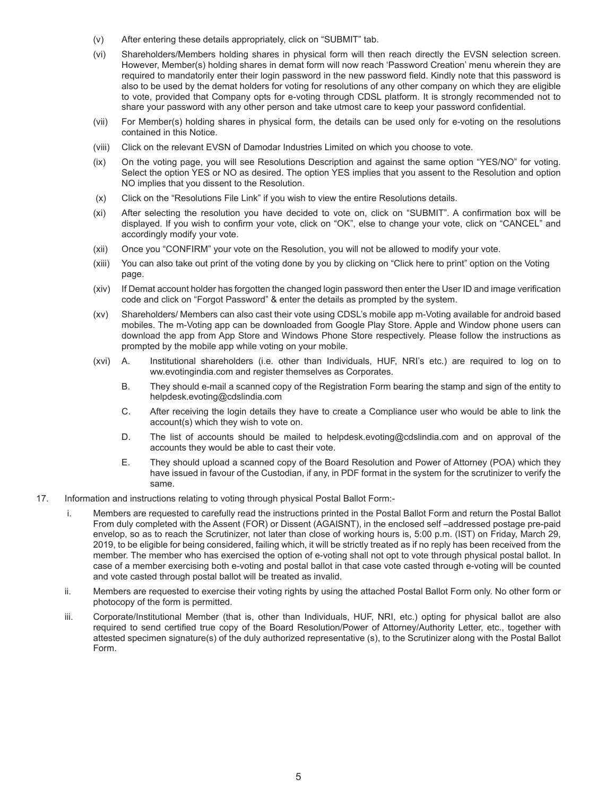- (v) After entering these details appropriately, click on "SUBMIT" tab.
- (vi) Shareholders/Members holding shares in physical form will then reach directly the EVSN selection screen. However, Member(s) holding shares in demat form will now reach 'Password Creation' menu wherein they are required to mandatorily enter their login password in the new password field. Kindly note that this password is also to be used by the demat holders for voting for resolutions of any other company on which they are eligible to vote, provided that Company opts for e-voting through CDSL platform. It is strongly recommended not to share your password with any other person and take utmost care to keep your password confidential.
- (vii) For Member(s) holding shares in physical form, the details can be used only for e-voting on the resolutions contained in this Notice.
- (viii) Click on the relevant EVSN of Damodar Industries Limited on which you choose to vote.
- (ix) On the voting page, you will see Resolutions Description and against the same option "YES/NO" for voting. Select the option YES or NO as desired. The option YES implies that you assent to the Resolution and option NO implies that you dissent to the Resolution.
- (x) Click on the "Resolutions File Link" if you wish to view the entire Resolutions details.
- (xi) After selecting the resolution you have decided to vote on, click on "SUBMIT". A confirmation box will be displayed. If you wish to confirm your vote, click on "OK", else to change your vote, click on "CANCEL" and accordingly modify your vote.
- (xii) Once you "CONFIRM" your vote on the Resolution, you will not be allowed to modify your vote.
- (xiii) You can also take out print of the voting done by you by clicking on "Click here to print" option on the Voting page.
- (xiv) If Demat account holder has forgotten the changed login password then enter the User ID and image verification code and click on "Forgot Password" & enter the details as prompted by the system.
- (xv) Shareholders/ Members can also cast their vote using CDSL's mobile app m-Voting available for android based mobiles. The m-Voting app can be downloaded from Google Play Store. Apple and Window phone users can download the app from App Store and Windows Phone Store respectively. Please follow the instructions as prompted by the mobile app while voting on your mobile.
- (xvi) A. Institutional shareholders (i.e. other than Individuals, HUF, NRI's etc.) are required to log on to ww.evotingindia.com and register themselves as Corporates.
	- B. They should e-mail a scanned copy of the Registration Form bearing the stamp and sign of the entity to helpdesk.evoting@cdslindia.com
	- C. After receiving the login details they have to create a Compliance user who would be able to link the account(s) which they wish to vote on.
	- D. The list of accounts should be mailed to helpdesk.evoting@cdslindia.com and on approval of the accounts they would be able to cast their vote.
	- E. They should upload a scanned copy of the Board Resolution and Power of Attorney (POA) which they have issued in favour of the Custodian, if any, in PDF format in the system for the scrutinizer to verify the same.
- 17. Information and instructions relating to voting through physical Postal Ballot Form:
	- i. Members are requested to carefully read the instructions printed in the Postal Ballot Form and return the Postal Ballot From duly completed with the Assent (FOR) or Dissent (AGAISNT), in the enclosed self –addressed postage pre-paid envelop, so as to reach the Scrutinizer, not later than close of working hours is, 5:00 p.m. (IST) on Friday, March 29, 2019, to be eligible for being considered, failing which, it will be strictly treated as if no reply has been received from the member. The member who has exercised the option of e-voting shall not opt to vote through physical postal ballot. In case of a member exercising both e-voting and postal ballot in that case vote casted through e-voting will be counted and vote casted through postal ballot will be treated as invalid.
	- ii. Members are requested to exercise their voting rights by using the attached Postal Ballot Form only. No other form or photocopy of the form is permitted.
	- iii. Corporate/Institutional Member (that is, other than Individuals, HUF, NRI, etc.) opting for physical ballot are also required to send certified true copy of the Board Resolution/Power of Attorney/Authority Letter, etc., together with attested specimen signature(s) of the duly authorized representative (s), to the Scrutinizer along with the Postal Ballot Form.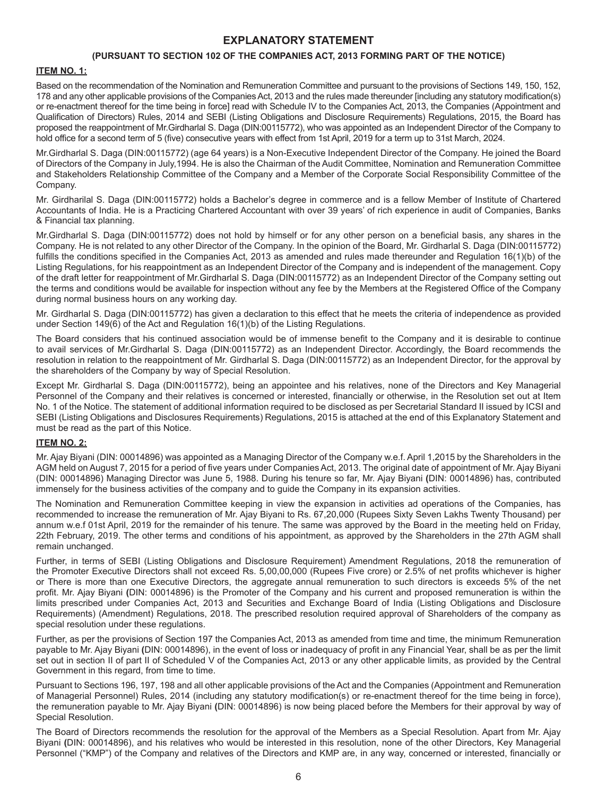## **EXPLANATORY STATEMENT**

## **(PURSUANT TO SECTION 102 OF THE COMPANIES ACT, 2013 FORMING PART OF THE NOTICE)**

## **ITEM NO. 1:**

Based on the recommendation of the Nomination and Remuneration Committee and pursuant to the provisions of Sections 149, 150, 152, 178 and any other applicable provisions of the Companies Act, 2013 and the rules made thereunder [including any statutory modification(s) or re-enactment thereof for the time being in force] read with Schedule IV to the Companies Act, 2013, the Companies (Appointment and Qualification of Directors) Rules, 2014 and SEBI (Listing Obligations and Disclosure Requirements) Regulations, 2015, the Board has proposed the reappointment of Mr.Girdharlal S. Daga (DIN:00115772), who was appointed as an Independent Director of the Company to hold office for a second term of 5 (five) consecutive years with effect from 1st April, 2019 for a term up to 31st March, 2024.

Mr.Girdharlal S. Daga (DIN:00115772) (age 64 years) is a Non-Executive Independent Director of the Company. He joined the Board of Directors of the Company in July,1994. He is also the Chairman of the Audit Committee, Nomination and Remuneration Committee and Stakeholders Relationship Committee of the Company and a Member of the Corporate Social Responsibility Committee of the Company.

Mr. Girdharilal S. Daga (DIN:00115772) holds a Bachelor's degree in commerce and is a fellow Member of Institute of Chartered Accountants of India. He is a Practicing Chartered Accountant with over 39 years' of rich experience in audit of Companies, Banks & Financial tax planning.

Mr.Girdharlal S. Daga (DIN:00115772) does not hold by himself or for any other person on a beneficial basis, any shares in the Company. He is not related to any other Director of the Company. In the opinion of the Board, Mr. Girdharlal S. Daga (DIN:00115772) fulfills the conditions specified in the Companies Act, 2013 as amended and rules made thereunder and Regulation 16(1)(b) of the Listing Regulations, for his reappointment as an Independent Director of the Company and is independent of the management. Copy of the draft letter for reappointment of Mr.Girdharlal S. Daga (DIN:00115772) as an Independent Director of the Company setting out the terms and conditions would be available for inspection without any fee by the Members at the Registered Office of the Company during normal business hours on any working day.

Mr. Girdharlal S. Daga (DIN:00115772) has given a declaration to this effect that he meets the criteria of independence as provided under Section 149(6) of the Act and Regulation 16(1)(b) of the Listing Regulations.

The Board considers that his continued association would be of immense benefit to the Company and it is desirable to continue to avail services of Mr.Girdharlal S. Daga (DIN:00115772) as an Independent Director. Accordingly, the Board recommends the resolution in relation to the reappointment of Mr. Girdharlal S. Daga (DIN:00115772) as an Independent Director, for the approval by the shareholders of the Company by way of Special Resolution.

Except Mr. Girdharlal S. Daga (DIN:00115772), being an appointee and his relatives, none of the Directors and Key Managerial Personnel of the Company and their relatives is concerned or interested, financially or otherwise, in the Resolution set out at Item No. 1 of the Notice. The statement of additional information required to be disclosed as per Secretarial Standard II issued by ICSI and SEBI (Listing Obligations and Disclosures Requirements) Regulations, 2015 is attached at the end of this Explanatory Statement and must be read as the part of this Notice.

## **ITEM NO. 2:**

Mr. Ajay Biyani (DIN: 00014896) was appointed as a Managing Director of the Company w.e.f. April 1,2015 by the Shareholders in the AGM held on August 7, 2015 for a period of five years under Companies Act, 2013. The original date of appointment of Mr. Ajay Biyani (DIN: 00014896) Managing Director was June 5, 1988. During his tenure so far, Mr. Ajay Biyani **(**DIN: 00014896) has, contributed immensely for the business activities of the company and to guide the Company in its expansion activities.

The Nomination and Remuneration Committee keeping in view the expansion in activities ad operations of the Companies, has recommended to increase the remuneration of Mr. Ajay Biyani to Rs. 67,20,000 (Rupees Sixty Seven Lakhs Twenty Thousand) per annum w.e.f 01st April, 2019 for the remainder of his tenure. The same was approved by the Board in the meeting held on Friday, 22th February, 2019. The other terms and conditions of his appointment, as approved by the Shareholders in the 27th AGM shall remain unchanged.

Further, in terms of SEBI (Listing Obligations and Disclosure Requirement) Amendment Regulations, 2018 the remuneration of the Promoter Executive Directors shall not exceed Rs. 5,00,00,000 (Rupees Five crore) or 2.5% of net profits whichever is higher or There is more than one Executive Directors, the aggregate annual remuneration to such directors is exceeds 5% of the net profit. Mr. Ajay Biyani **(**DIN: 00014896) is the Promoter of the Company and his current and proposed remuneration is within the limits prescribed under Companies Act, 2013 and Securities and Exchange Board of India (Listing Obligations and Disclosure Requirements) (Amendment) Regulations, 2018. The prescribed resolution required approval of Shareholders of the company as special resolution under these regulations.

Further, as per the provisions of Section 197 the Companies Act, 2013 as amended from time and time, the minimum Remuneration payable to Mr. Ajay Biyani **(**DIN: 00014896), in the event of loss or inadequacy of profit in any Financial Year, shall be as per the limit set out in section II of part II of Scheduled V of the Companies Act, 2013 or any other applicable limits, as provided by the Central Government in this regard, from time to time.

Pursuant to Sections 196, 197, 198 and all other applicable provisions of the Act and the Companies (Appointment and Remuneration of Managerial Personnel) Rules, 2014 (including any statutory modification(s) or re-enactment thereof for the time being in force), the remuneration payable to Mr. Ajay Biyani **(**DIN: 00014896) is now being placed before the Members for their approval by way of Special Resolution.

The Board of Directors recommends the resolution for the approval of the Members as a Special Resolution. Apart from Mr. Ajay Biyani **(**DIN: 00014896), and his relatives who would be interested in this resolution, none of the other Directors, Key Managerial Personnel ("KMP") of the Company and relatives of the Directors and KMP are, in any way, concerned or interested, financially or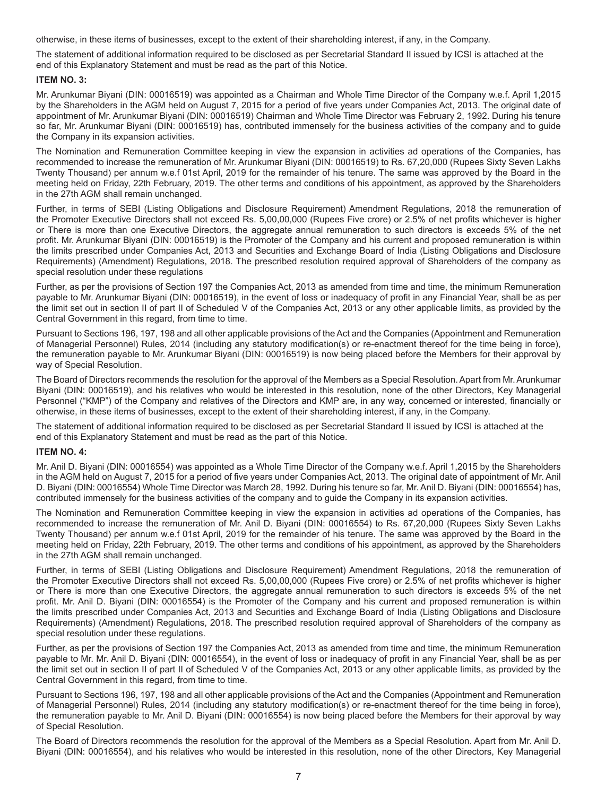otherwise, in these items of businesses, except to the extent of their shareholding interest, if any, in the Company.

The statement of additional information required to be disclosed as per Secretarial Standard II issued by ICSI is attached at the end of this Explanatory Statement and must be read as the part of this Notice.

## **ITEM NO. 3:**

Mr. Arunkumar Biyani (DIN: 00016519) was appointed as a Chairman and Whole Time Director of the Company w.e.f. April 1,2015 by the Shareholders in the AGM held on August 7, 2015 for a period of five years under Companies Act, 2013. The original date of appointment of Mr. Arunkumar Biyani (DIN: 00016519) Chairman and Whole Time Director was February 2, 1992. During his tenure so far, Mr. Arunkumar Biyani (DIN: 00016519) has, contributed immensely for the business activities of the company and to guide the Company in its expansion activities.

The Nomination and Remuneration Committee keeping in view the expansion in activities ad operations of the Companies, has recommended to increase the remuneration of Mr. Arunkumar Biyani (DIN: 00016519) to Rs. 67,20,000 (Rupees Sixty Seven Lakhs Twenty Thousand) per annum w.e.f 01st April, 2019 for the remainder of his tenure. The same was approved by the Board in the meeting held on Friday, 22th February, 2019. The other terms and conditions of his appointment, as approved by the Shareholders in the 27th AGM shall remain unchanged.

Further, in terms of SEBI (Listing Obligations and Disclosure Requirement) Amendment Regulations, 2018 the remuneration of the Promoter Executive Directors shall not exceed Rs. 5,00,00,000 (Rupees Five crore) or 2.5% of net profits whichever is higher or There is more than one Executive Directors, the aggregate annual remuneration to such directors is exceeds 5% of the net profit. Mr. Arunkumar Biyani (DIN: 00016519) is the Promoter of the Company and his current and proposed remuneration is within the limits prescribed under Companies Act, 2013 and Securities and Exchange Board of India (Listing Obligations and Disclosure Requirements) (Amendment) Regulations, 2018. The prescribed resolution required approval of Shareholders of the company as special resolution under these regulations

Further, as per the provisions of Section 197 the Companies Act, 2013 as amended from time and time, the minimum Remuneration payable to Mr. Arunkumar Biyani (DIN: 00016519), in the event of loss or inadequacy of profit in any Financial Year, shall be as per the limit set out in section II of part II of Scheduled V of the Companies Act, 2013 or any other applicable limits, as provided by the Central Government in this regard, from time to time.

Pursuant to Sections 196, 197, 198 and all other applicable provisions of the Act and the Companies (Appointment and Remuneration of Managerial Personnel) Rules, 2014 (including any statutory modification(s) or re-enactment thereof for the time being in force), the remuneration payable to Mr. Arunkumar Biyani (DIN: 00016519) is now being placed before the Members for their approval by way of Special Resolution.

The Board of Directors recommends the resolution for the approval of the Members as a Special Resolution. Apart from Mr. Arunkumar Biyani (DIN: 00016519), and his relatives who would be interested in this resolution, none of the other Directors, Key Managerial Personnel ("KMP") of the Company and relatives of the Directors and KMP are, in any way, concerned or interested, financially or otherwise, in these items of businesses, except to the extent of their shareholding interest, if any, in the Company.

The statement of additional information required to be disclosed as per Secretarial Standard II issued by ICSI is attached at the end of this Explanatory Statement and must be read as the part of this Notice.

## **ITEM NO. 4:**

Mr. Anil D. Biyani (DIN: 00016554) was appointed as a Whole Time Director of the Company w.e.f. April 1,2015 by the Shareholders in the AGM held on August 7, 2015 for a period of five years under Companies Act, 2013. The original date of appointment of Mr. Anil D. Biyani (DIN: 00016554) Whole Time Director was March 28, 1992. During his tenure so far, Mr. Anil D. Biyani (DIN: 00016554) has, contributed immensely for the business activities of the company and to guide the Company in its expansion activities.

The Nomination and Remuneration Committee keeping in view the expansion in activities ad operations of the Companies, has recommended to increase the remuneration of Mr. Anil D. Biyani (DIN: 00016554) to Rs. 67,20,000 (Rupees Sixty Seven Lakhs Twenty Thousand) per annum w.e.f 01st April, 2019 for the remainder of his tenure. The same was approved by the Board in the meeting held on Friday, 22th February, 2019. The other terms and conditions of his appointment, as approved by the Shareholders in the 27th AGM shall remain unchanged.

Further, in terms of SEBI (Listing Obligations and Disclosure Requirement) Amendment Regulations, 2018 the remuneration of the Promoter Executive Directors shall not exceed Rs. 5,00,00,000 (Rupees Five crore) or 2.5% of net profits whichever is higher or There is more than one Executive Directors, the aggregate annual remuneration to such directors is exceeds 5% of the net profit. Mr. Anil D. Biyani (DIN: 00016554) is the Promoter of the Company and his current and proposed remuneration is within the limits prescribed under Companies Act, 2013 and Securities and Exchange Board of India (Listing Obligations and Disclosure Requirements) (Amendment) Regulations, 2018. The prescribed resolution required approval of Shareholders of the company as special resolution under these regulations.

Further, as per the provisions of Section 197 the Companies Act, 2013 as amended from time and time, the minimum Remuneration payable to Mr. Mr. Anil D. Biyani (DIN: 00016554), in the event of loss or inadequacy of profit in any Financial Year, shall be as per the limit set out in section II of part II of Scheduled V of the Companies Act, 2013 or any other applicable limits, as provided by the Central Government in this regard, from time to time.

Pursuant to Sections 196, 197, 198 and all other applicable provisions of the Act and the Companies (Appointment and Remuneration of Managerial Personnel) Rules, 2014 (including any statutory modification(s) or re-enactment thereof for the time being in force), the remuneration payable to Mr. Anil D. Biyani (DIN: 00016554) is now being placed before the Members for their approval by way of Special Resolution.

The Board of Directors recommends the resolution for the approval of the Members as a Special Resolution. Apart from Mr. Anil D. Biyani (DIN: 00016554), and his relatives who would be interested in this resolution, none of the other Directors, Key Managerial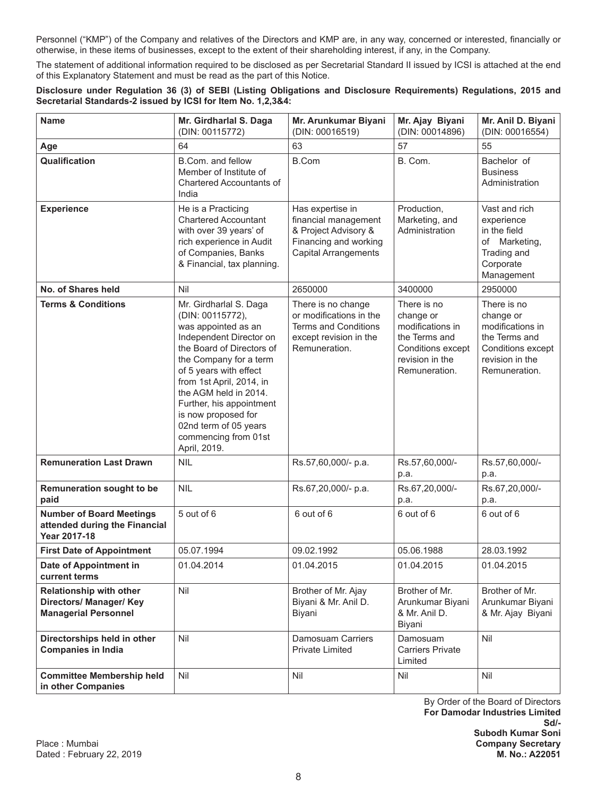Personnel ("KMP") of the Company and relatives of the Directors and KMP are, in any way, concerned or interested, financially or otherwise, in these items of businesses, except to the extent of their shareholding interest, if any, in the Company.

The statement of additional information required to be disclosed as per Secretarial Standard II issued by ICSI is attached at the end of this Explanatory Statement and must be read as the part of this Notice.

## **Disclosure under Regulation 36 (3) of SEBI (Listing Obligations and Disclosure Requirements) Regulations, 2015 and Secretarial Standards-2 issued by ICSI for Item No. 1,2,3&4:**

| <b>Name</b>                                                                              | Mr. Girdharlal S. Daga<br>(DIN: 00115772)                                                                                                                                                                                                                                                                                                              | Mr. Arunkumar Biyani<br>(DIN: 00016519)                                                                                  | Mr. Ajay Biyani<br>(DIN: 00014896)                                                                                     | Mr. Anil D. Biyani<br>(DIN: 00016554)                                                                                  |
|------------------------------------------------------------------------------------------|--------------------------------------------------------------------------------------------------------------------------------------------------------------------------------------------------------------------------------------------------------------------------------------------------------------------------------------------------------|--------------------------------------------------------------------------------------------------------------------------|------------------------------------------------------------------------------------------------------------------------|------------------------------------------------------------------------------------------------------------------------|
| Age                                                                                      | 64                                                                                                                                                                                                                                                                                                                                                     | 63                                                                                                                       | 57                                                                                                                     | 55                                                                                                                     |
| Qualification                                                                            | B.Com. and fellow<br>Member of Institute of<br><b>Chartered Accountants of</b><br>India                                                                                                                                                                                                                                                                | <b>B.Com</b>                                                                                                             | B. Com.                                                                                                                | Bachelor of<br><b>Business</b><br>Administration                                                                       |
| <b>Experience</b>                                                                        | He is a Practicing<br><b>Chartered Accountant</b><br>with over 39 years' of<br>rich experience in Audit<br>of Companies, Banks<br>& Financial, tax planning.                                                                                                                                                                                           | Has expertise in<br>financial management<br>& Project Advisory &<br>Financing and working<br><b>Capital Arrangements</b> | Production,<br>Marketing, and<br>Administration                                                                        | Vast and rich<br>experience<br>in the field<br>of Marketing,<br>Trading and<br>Corporate<br>Management                 |
| No. of Shares held                                                                       | Nil                                                                                                                                                                                                                                                                                                                                                    | 2650000                                                                                                                  | 3400000                                                                                                                | 2950000                                                                                                                |
| <b>Terms &amp; Conditions</b>                                                            | Mr. Girdharlal S. Daga<br>(DIN: 00115772),<br>was appointed as an<br>Independent Director on<br>the Board of Directors of<br>the Company for a term<br>of 5 years with effect<br>from 1st April, 2014, in<br>the AGM held in 2014.<br>Further, his appointment<br>is now proposed for<br>02nd term of 05 years<br>commencing from 01st<br>April, 2019. | There is no change<br>or modifications in the<br><b>Terms and Conditions</b><br>except revision in the<br>Remuneration.  | There is no<br>change or<br>modifications in<br>the Terms and<br>Conditions except<br>revision in the<br>Remuneration. | There is no<br>change or<br>modifications in<br>the Terms and<br>Conditions except<br>revision in the<br>Remuneration. |
| <b>Remuneration Last Drawn</b>                                                           | <b>NIL</b>                                                                                                                                                                                                                                                                                                                                             | Rs.57,60,000/- p.a.                                                                                                      | Rs.57,60,000/-<br>p.a.                                                                                                 | Rs.57,60,000/-<br>p.a.                                                                                                 |
| Remuneration sought to be<br>paid                                                        | <b>NIL</b>                                                                                                                                                                                                                                                                                                                                             | Rs.67,20,000/- p.a.                                                                                                      | Rs.67,20,000/-<br>p.a.                                                                                                 | Rs.67,20,000/-<br>p.a.                                                                                                 |
| <b>Number of Board Meetings</b><br>attended during the Financial<br><b>Year 2017-18</b>  | 5 out of 6                                                                                                                                                                                                                                                                                                                                             | 6 out of 6                                                                                                               | 6 out of 6                                                                                                             | 6 out of 6                                                                                                             |
| <b>First Date of Appointment</b>                                                         | 05.07.1994                                                                                                                                                                                                                                                                                                                                             | 09.02.1992                                                                                                               | 05.06.1988                                                                                                             | 28.03.1992                                                                                                             |
| Date of Appointment in<br>current terms                                                  | 01.04.2014                                                                                                                                                                                                                                                                                                                                             | 01.04.2015                                                                                                               | 01.04.2015                                                                                                             | 01.04.2015                                                                                                             |
| <b>Relationship with other</b><br>Directors/ Manager/ Key<br><b>Managerial Personnel</b> | Nil                                                                                                                                                                                                                                                                                                                                                    | Brother of Mr. Ajay<br>Biyani & Mr. Anil D.<br>Biyani                                                                    | Brother of Mr.<br>Arunkumar Biyani<br>& Mr. Anil D.<br>Biyani                                                          | Brother of Mr.<br>Arunkumar Biyani<br>& Mr. Ajay Biyani                                                                |
| Directorships held in other<br><b>Companies in India</b>                                 | Nil                                                                                                                                                                                                                                                                                                                                                    | Damosuam Carriers<br>Private Limited                                                                                     | Damosuam<br><b>Carriers Private</b><br>Limited                                                                         | Nil                                                                                                                    |
| <b>Committee Membership held</b><br>in other Companies                                   | Nil                                                                                                                                                                                                                                                                                                                                                    | Nil                                                                                                                      | Nil                                                                                                                    | Nil                                                                                                                    |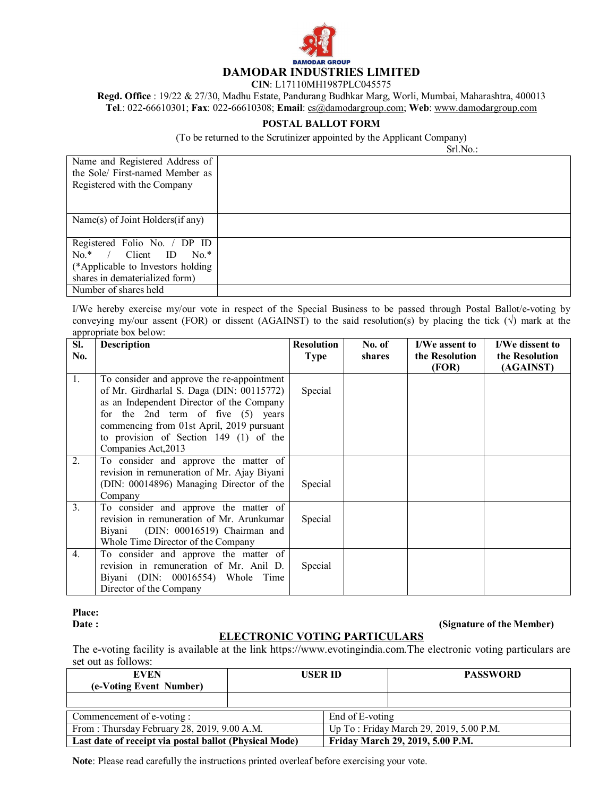

**CIN**: L17110MH1987PLC045575

**Regd. Office** : 19/22 & 27/30, Madhu Estate, Pandurang Budhkar Marg, Worli, Mumbai, Maharashtra, 400013 **Tel**.: 022-66610301; **Fax**: 022-66610308; **Email**: cs@damodargroup.com; **Web**: www.damodargroup.com

## **POSTAL BALLOT FORM**

(To be returned to the Scrutinizer appointed by the Applicant Company)

Srl.No.:

| Name and Registered Address of     |  |
|------------------------------------|--|
| the Sole/ First-named Member as    |  |
| Registered with the Company        |  |
|                                    |  |
|                                    |  |
| Name(s) of Joint Holders(if any)   |  |
|                                    |  |
| Registered Folio No. / DP ID       |  |
| / Client ID<br>$No.*$<br>$No.*$    |  |
| (*Applicable to Investors holding) |  |
| shares in dematerialized form)     |  |
| Number of shares held              |  |

I/We hereby exercise my/our vote in respect of the Special Business to be passed through Postal Ballot/e-voting by conveying my/our assent (FOR) or dissent (AGAINST) to the said resolution(s) by placing the tick  $(\sqrt{})$  mark at the appropriate box below:

| SI. | <b>Description</b>                                                                                                                                                                                                                                                                           | <b>Resolution</b> | No. of | I/We assent to          | I/We dissent to             |
|-----|----------------------------------------------------------------------------------------------------------------------------------------------------------------------------------------------------------------------------------------------------------------------------------------------|-------------------|--------|-------------------------|-----------------------------|
| No. |                                                                                                                                                                                                                                                                                              | <b>Type</b>       | shares | the Resolution<br>(FOR) | the Resolution<br>(AGAINST) |
| 1.  | To consider and approve the re-appointment<br>of Mr. Girdharlal S. Daga (DIN: 00115772)<br>as an Independent Director of the Company<br>for the 2nd term of five $(5)$ years<br>commencing from 01st April, 2019 pursuant<br>to provision of Section $149$ (1) of the<br>Companies Act, 2013 | Special           |        |                         |                             |
| 2.  | To consider and approve the matter of<br>revision in remuneration of Mr. Ajay Biyani<br>(DIN: 00014896) Managing Director of the<br>Company                                                                                                                                                  | Special           |        |                         |                             |
| 3.  | To consider and approve the matter of<br>revision in remuneration of Mr. Arunkumar<br>(DIN: 00016519) Chairman and<br>Biyani<br>Whole Time Director of the Company                                                                                                                           | Special           |        |                         |                             |
| 4.  | To consider and approve the matter of<br>revision in remuneration of Mr. Anil D.<br>Biyani (DIN: 00016554) Whole Time<br>Director of the Company                                                                                                                                             | Special           |        |                         |                             |

**Place:**

## **(Signature of the Member)**

## **ELECTRONIC VOTING PARTICULARS**

The e-voting facility is available at the link https://www.evotingindia.com.The electronic voting particulars are set out as follows:

| <b>EVEN</b>                                            | <b>USER ID</b> |                                         | <b>PASSWORD</b>                  |
|--------------------------------------------------------|----------------|-----------------------------------------|----------------------------------|
| (e-Voting Event Number)                                |                |                                         |                                  |
|                                                        |                |                                         |                                  |
| Commencement of e-voting :                             |                | End of E-voting                         |                                  |
| From: Thursday February 28, 2019, 9.00 A.M.            |                | Up To: Friday March 29, 2019, 5.00 P.M. |                                  |
| Last date of receipt via postal ballot (Physical Mode) |                |                                         | Friday March 29, 2019, 5.00 P.M. |

**Note**: Please read carefully the instructions printed overleaf before exercising your vote.